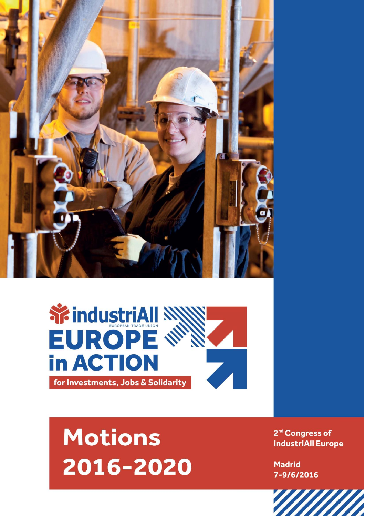



## **Motions** 2016-2020

2<sup>nd</sup> Congress of industriAll Europe

**Madrid** 7-9/6/2016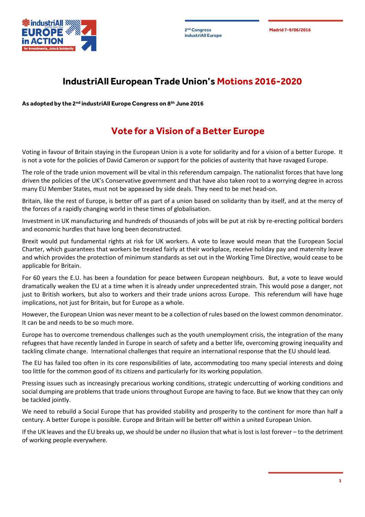**industriAll Europe**



## **IndustriAll European Trade Union's Motions 2016-2020**

**As adopted by the 2nd industriAll Europe Congress on 8th June 2016**

## **Vote for a Vision of a Better Europe**

Voting in favour of Britain staying in the European Union is a vote for solidarity and for a vision of a better Europe. It is not a vote for the policies of David Cameron or support for the policies of austerity that have ravaged Europe.

The role of the trade union movement will be vital in this referendum campaign. The nationalist forces that have long driven the policies of the UK's Conservative government and that have also taken root to a worrying degree in across many EU Member States, must not be appeased by side deals. They need to be met head-on.

Britain, like the rest of Europe, is better off as part of a union based on solidarity than by itself, and at the mercy of the forces of a rapidly changing world in these times of globalisation.

Investment in UK manufacturing and hundreds of thousands of jobs will be put at risk by re-erecting political borders and economic hurdles that have long been deconstructed.

Brexit would put fundamental rights at risk for UK workers. A vote to leave would mean that the European Social Charter, which guarantees that workers be treated fairly at their workplace, receive holiday pay and maternity leave and which provides the protection of minimum standards as set out in the Working Time Directive, would cease to be applicable for Britain.

For 60 years the E.U. has been a foundation for peace between European neighbours. But, a vote to leave would dramatically weaken the EU at a time when it is already under unprecedented strain. This would pose a danger, not just to British workers, but also to workers and their trade unions across Europe. This referendum will have huge implications, not just for Britain, but for Europe as a whole.

However, the European Union was never meant to be a collection of rules based on the lowest common denominator. It can be and needs to be so much more.

Europe has to overcome tremendous challenges such as the youth unemployment crisis, the integration of the many refugees that have recently landed in Europe in search of safety and a better life, overcoming growing inequality and tackling climate change. International challenges that require an international response that the EU should lead.

The EU has failed too often in its core responsibilities of late, accommodating too many special interests and doing too little for the common good of its citizens and particularly for its working population.

Pressing issues such as increasingly precarious working conditions, strategic undercutting of working conditions and social dumping are problems that trade unions throughout Europe are having to face. But we know that they can only be tackled jointly.

We need to rebuild a Social Europe that has provided stability and prosperity to the continent for more than half a century. A better Europe is possible. Europe and Britain will be better off within a united European Union.

If the UK leaves and the EU breaks up, we should be under no illusion that what is lost is lost forever – to the detriment of working people everywhere.